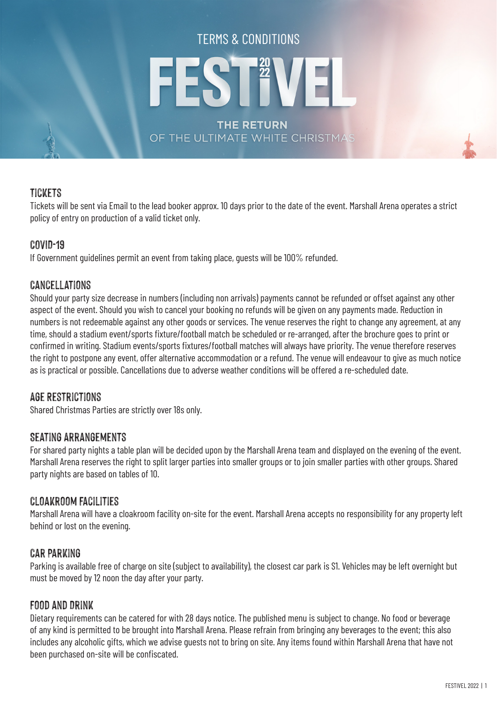# TERMS & CONDITIONS

**THE RETURN** OF THE ULTIMATE WHITE CHRISTMAS

### **TICKETS**

Tickets will be sent via Email to the lead booker approx. 10 days prior to the date of the event. Marshall Arena operates a strict policy of entry on production of a valid ticket only.

### COVID-19

If Government guidelines permit an event from taking place, guests will be 100% refunded.

### Cancellations

Should your party size decrease in numbers (including non arrivals) payments cannot be refunded or offset against any other aspect of the event. Should you wish to cancel your booking no refunds will be given on any payments made. Reduction in numbers is not redeemable against any other goods or services. The venue reserves the right to change any agreement, at any time, should a stadium event/sports fixture/football match be scheduled or re-arranged, after the brochure goes to print or confirmed in writing. Stadium events/sports fixtures/football matches will always have priority. The venue therefore reserves the right to postpone any event, offer alternative accommodation or a refund. The venue will endeavour to give as much notice as is practical or possible. Cancellations due to adverse weather conditions will be offered a re-scheduled date.

### Age Restrictions

Shared Christmas Parties are strictly over 18s only.

### Seating Arrangements

For shared party nights a table plan will be decided upon by the Marshall Arena team and displayed on the evening of the event. Marshall Arena reserves the right to split larger parties into smaller groups or to join smaller parties with other groups. Shared party nights are based on tables of 10.

### Cloakroom Facilities

Marshall Arena will have a cloakroom facility on-site for the event. Marshall Arena accepts no responsibility for any property left behind or lost on the evening.

### Car Parking

Parking is available free of charge on site (subject to availability), the closest car park is S1. Vehicles may be left overnight but must be moved by 12 noon the day after your party.

#### Food and Drink

Dietary requirements can be catered for with 28 days notice. The published menu is subject to change. No food or beverage of any kind is permitted to be brought into Marshall Arena. Please refrain from bringing any beverages to the event; this also includes any alcoholic gifts, which we advise guests not to bring on site. Any items found within Marshall Arena that have not been purchased on-site will be confiscated.